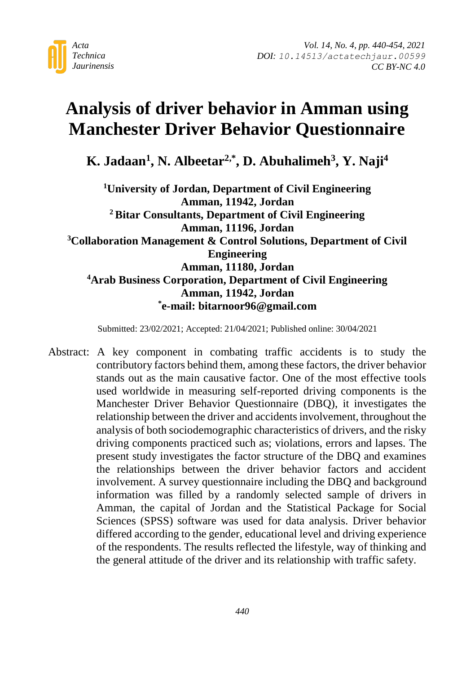

# **Analysis of driver behavior in Amman using Manchester Driver Behavior Questionnaire**

**K. Jadaan<sup>1</sup> , N. Albeetar2,\* , D. Abuhalimeh<sup>3</sup> , Y. Naji<sup>4</sup>**

**<sup>1</sup>University of Jordan, Department of Civil Engineering Amman, 11942, Jordan <sup>2</sup> Bitar Consultants, Department of Civil Engineering Amman, 11196, Jordan <sup>3</sup>Collaboration Management & Control Solutions, Department of Civil Engineering Amman, 11180, Jordan <sup>4</sup>Arab Business Corporation, Department of Civil Engineering Amman, 11942, Jordan \* e-mail: bitarnoor96@gmail.com**

Submitted: 23/02/2021; Accepted: 21/04/2021; Published online: 30/04/2021

Abstract: A key component in combating traffic accidents is to study the contributory factors behind them, among these factors, the driver behavior stands out as the main causative factor. One of the most effective tools used worldwide in measuring self-reported driving components is the Manchester Driver Behavior Questionnaire (DBQ), it investigates the relationship between the driver and accidents involvement, throughout the analysis of both sociodemographic characteristics of drivers, and the risky driving components practiced such as; violations, errors and lapses. The present study investigates the factor structure of the DBQ and examines the relationships between the driver behavior factors and accident involvement. A survey questionnaire including the DBQ and background information was filled by a randomly selected sample of drivers in Amman, the capital of Jordan and the Statistical Package for Social Sciences (SPSS) software was used for data analysis. Driver behavior differed according to the gender, educational level and driving experience of the respondents. The results reflected the lifestyle, way of thinking and the general attitude of the driver and its relationship with traffic safety.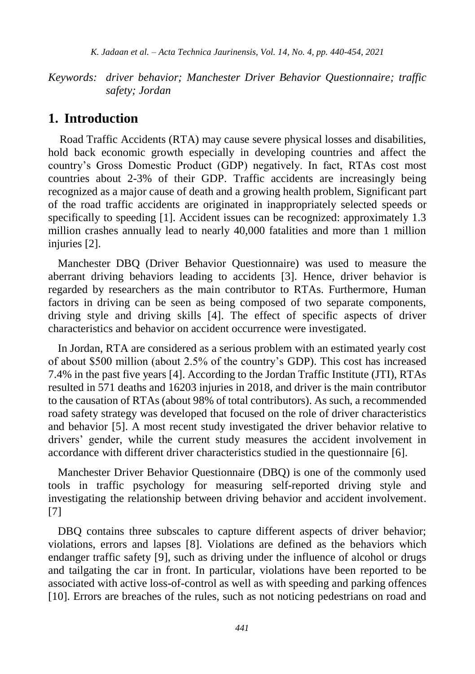*K. Jadaan et al. – Acta Technica Jaurinensis, Vol. 14, No. 4, pp. 440-454, 2021*

*Keywords: driver behavior; Manchester Driver Behavior Questionnaire; traffic safety; Jordan*

### **1. Introduction**

 Road Traffic Accidents (RTA) may cause severe physical losses and disabilities, hold back economic growth especially in developing countries and affect the country's Gross Domestic Product (GDP) negatively. In fact, RTAs cost most countries about 2-3% of their GDP. Traffic accidents are increasingly being recognized as a major cause of death and a growing health problem, Significant part of the road traffic accidents are originated in inappropriately selected speeds or specifically to speeding [1]. Accident issues can be recognized: approximately 1.3 million crashes annually lead to nearly 40,000 fatalities and more than 1 million iniuries [2].

Manchester DBQ (Driver Behavior Questionnaire) was used to measure the aberrant driving behaviors leading to accidents [3]. Hence, driver behavior is regarded by researchers as the main contributor to RTAs. Furthermore, Human factors in driving can be seen as being composed of two separate components, driving style and driving skills [4]. The effect of specific aspects of driver characteristics and behavior on accident occurrence were investigated.

In Jordan, RTA are considered as a serious problem with an estimated yearly cost of about \$500 million (about 2.5% of the country's GDP). This cost has increased 7.4% in the past five years [4]. According to the Jordan Traffic Institute (JTI), RTAs resulted in 571 deaths and 16203 injuries in 2018, and driver is the main contributor to the causation of RTAs (about 98% of total contributors). As such, a recommended road safety strategy was developed that focused on the role of driver characteristics and behavior [5]. A most recent study investigated the driver behavior relative to drivers' gender, while the current study measures the accident involvement in accordance with different driver characteristics studied in the questionnaire [6].

Manchester Driver Behavior Questionnaire (DBQ) is one of the commonly used tools in traffic psychology for measuring self-reported driving style and investigating the relationship between driving behavior and accident involvement. [7]

DBQ contains three subscales to capture different aspects of driver behavior; violations, errors and lapses [8]. Violations are defined as the behaviors which endanger traffic safety [9], such as driving under the influence of alcohol or drugs and tailgating the car in front. In particular, violations have been reported to be associated with active loss-of-control as well as with speeding and parking offences [10]. Errors are breaches of the rules, such as not noticing pedestrians on road and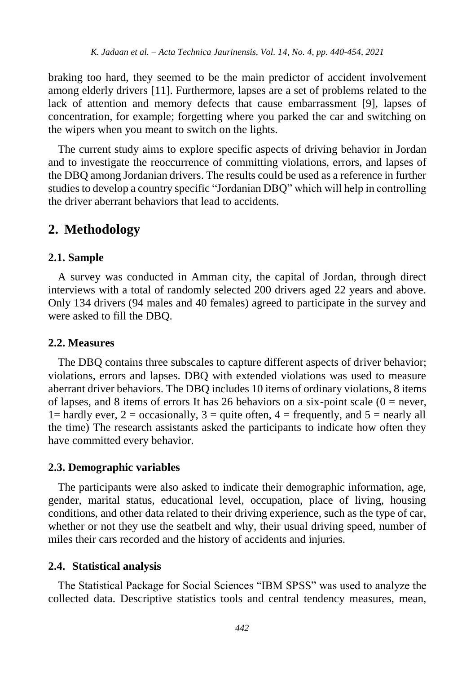braking too hard, they seemed to be the main predictor of accident involvement among elderly drivers [11]. Furthermore, lapses are a set of problems related to the lack of attention and memory defects that cause embarrassment [9], lapses of concentration, for example; forgetting where you parked the car and switching on the wipers when you meant to switch on the lights.

The current study aims to explore specific aspects of driving behavior in Jordan and to investigate the reoccurrence of committing violations, errors, and lapses of the DBQ among Jordanian drivers. The results could be used as a reference in further studies to develop a country specific "Jordanian DBQ" which will help in controlling the driver aberrant behaviors that lead to accidents.

## **2. Methodology**

#### **2.1. Sample**

A survey was conducted in Amman city, the capital of Jordan, through direct interviews with a total of randomly selected 200 drivers aged 22 years and above. Only 134 drivers (94 males and 40 females) agreed to participate in the survey and were asked to fill the DBQ.

#### **2.2. Measures**

The DBQ contains three subscales to capture different aspects of driver behavior; violations, errors and lapses. DBQ with extended violations was used to measure aberrant driver behaviors. The DBQ includes 10 items of ordinary violations, 8 items of lapses, and 8 items of errors It has 26 behaviors on a six-point scale  $(0 =$  never, 1= hardly ever, 2 = occasionally, 3 = quite often, 4 = frequently, and 5 = nearly all the time) The research assistants asked the participants to indicate how often they have committed every behavior.

#### **2.3. Demographic variables**

The participants were also asked to indicate their demographic information, age, gender, marital status, educational level, occupation, place of living, housing conditions, and other data related to their driving experience, such as the type of car, whether or not they use the seatbelt and why, their usual driving speed, number of miles their cars recorded and the history of accidents and injuries.

#### **2.4. Statistical analysis**

The Statistical Package for Social Sciences "IBM SPSS" was used to analyze the collected data. Descriptive statistics tools and central tendency measures, mean,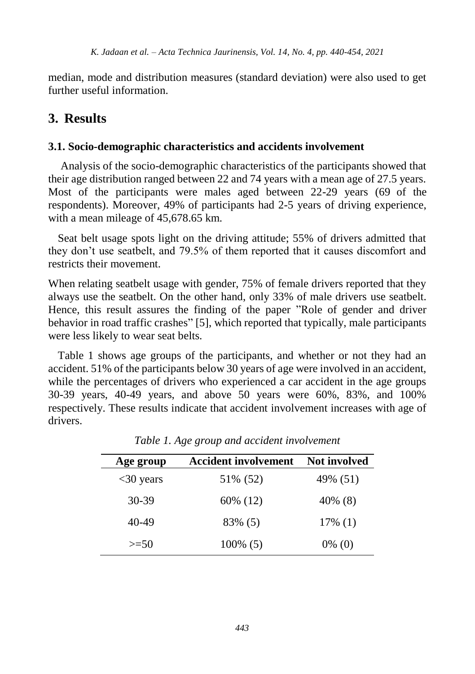median, mode and distribution measures (standard deviation) were also used to get further useful information.

## **3. Results**

#### **3.1. Socio-demographic characteristics and accidents involvement**

Analysis of the socio-demographic characteristics of the participants showed that their age distribution ranged between 22 and 74 years with a mean age of 27.5 years. Most of the participants were males aged between 22-29 years (69 of the respondents). Moreover, 49% of participants had 2-5 years of driving experience, with a mean mileage of 45,678.65 km.

Seat belt usage spots light on the driving attitude; 55% of drivers admitted that they don't use seatbelt, and 79.5% of them reported that it causes discomfort and restricts their movement.

When relating seatbelt usage with gender, 75% of female drivers reported that they always use the seatbelt. On the other hand, only 33% of male drivers use seatbelt. Hence, this result assures the finding of the paper "Role of gender and driver behavior in road traffic crashes" [5], which reported that typically, male participants were less likely to wear seat belts.

Table 1 shows age groups of the participants, and whether or not they had an accident. 51% of the participants below 30 years of age were involved in an accident, while the percentages of drivers who experienced a car accident in the age groups 30-39 years, 40-49 years, and above 50 years were 60%, 83%, and 100% respectively. These results indicate that accident involvement increases with age of drivers.

| Age group   | <b>Accident involvement</b> | <b>Not involved</b> |
|-------------|-----------------------------|---------------------|
| $<30$ years | 51\% (52)                   | 49% (51)            |
| 30-39       | 60% (12)                    | 40% (8)             |
| 40-49       | 83% (5)                     | $17\%$ (1)          |
| $>=50$      | $100\%$ (5)                 | $0\%$ (0)           |

*Table 1. Age group and accident involvement*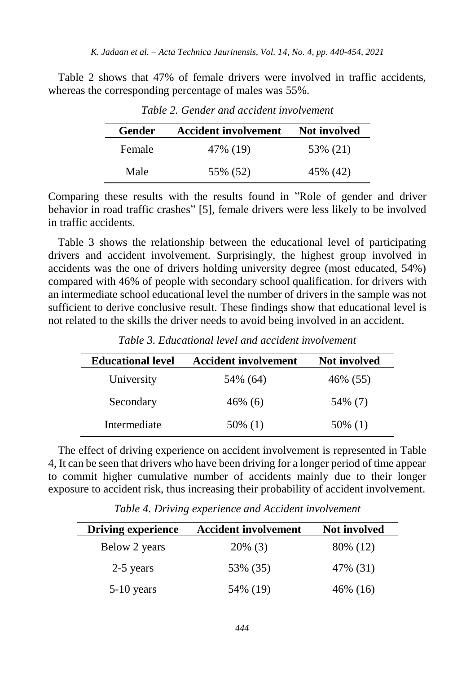Table 2 shows that 47% of female drivers were involved in traffic accidents, whereas the corresponding percentage of males was 55%.

| Gender | <b>Accident involvement</b> | Not involved |
|--------|-----------------------------|--------------|
| Female | 47% (19)                    | 53% (21)     |
| Male   | 55% (52)                    | 45% (42)     |

*Table 2. Gender and accident involvement*

Comparing these results with the results found in "Role of gender and driver behavior in road traffic crashes" [5], female drivers were less likely to be involved in traffic accidents.

Table 3 shows the relationship between the educational level of participating drivers and accident involvement. Surprisingly, the highest group involved in accidents was the one of drivers holding university degree (most educated, 54%) compared with 46% of people with secondary school qualification. for drivers with an intermediate school educational level the number of drivers in the sample was not sufficient to derive conclusive result. These findings show that educational level is not related to the skills the driver needs to avoid being involved in an accident.

| <b>Educational level</b> | <b>Accident involvement</b> | <b>Not involved</b> |  |
|--------------------------|-----------------------------|---------------------|--|
| University               | 54% (64)                    | 46% (55)            |  |
| Secondary                | 46% (6)                     | 54% (7)             |  |
| Intermediate             | 50% (1)                     | 50% (1)             |  |

*Table 3. Educational level and accident involvement*

The effect of driving experience on accident involvement is represented in Table 4, It can be seen that drivers who have been driving for a longer period of time appear to commit higher cumulative number of accidents mainly due to their longer exposure to accident risk, thus increasing their probability of accident involvement.

| <b>Driving experience</b> | <b>Accident involvement</b> | <b>Not involved</b> |  |
|---------------------------|-----------------------------|---------------------|--|
| Below 2 years             | $20\%$ (3)                  | 80\% (12)           |  |
| 2-5 years                 | 53% (35)                    | 47% (31)            |  |
| $5-10$ years              | 54% (19)                    | 46\% (16)           |  |

*Table 4. Driving experience and Accident involvement*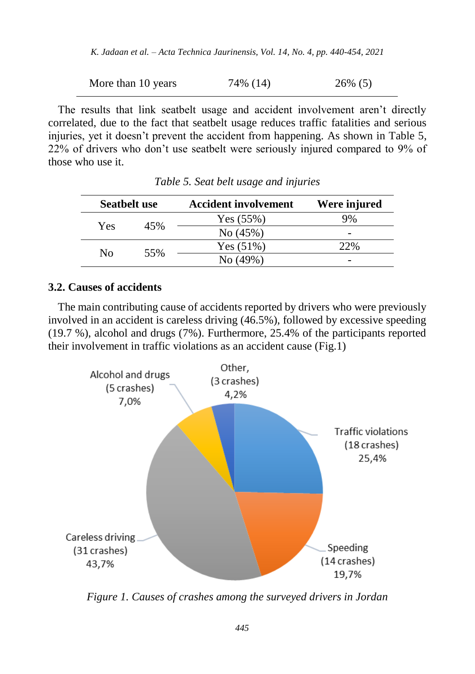*K. Jadaan et al. – Acta Technica Jaurinensis, Vol. 14, No. 4, pp. 440-454, 2021*

More than 10 years 
$$
74\% (14)
$$
  $26\% (5)$ 

The results that link seatbelt usage and accident involvement aren't directly correlated, due to the fact that seatbelt usage reduces traffic fatalities and serious injuries, yet it doesn't prevent the accident from happening. As shown in Table 5, 22% of drivers who don't use seatbelt were seriously injured compared to 9% of those who use it.

| <b>Seatbelt use</b> |     | <b>Accident involvement</b> | Were injured |  |
|---------------------|-----|-----------------------------|--------------|--|
|                     | 45% | Yes (55%)                   |              |  |
| Yes                 |     | No (45%)                    | -            |  |
| Nο                  | 55% | Yes(51%)                    | 22%          |  |
|                     |     | No (49%)                    | -            |  |

*Table 5. Seat belt usage and injuries*

#### **3.2. Causes of accidents**

The main contributing cause of accidents reported by drivers who were previously involved in an accident is careless driving (46.5%), followed by excessive speeding (19.7 %), alcohol and drugs (7%). Furthermore, 25.4% of the participants reported their involvement in traffic violations as an accident cause (Fig.1)



*Figure 1. Causes of crashes among the surveyed drivers in Jordan*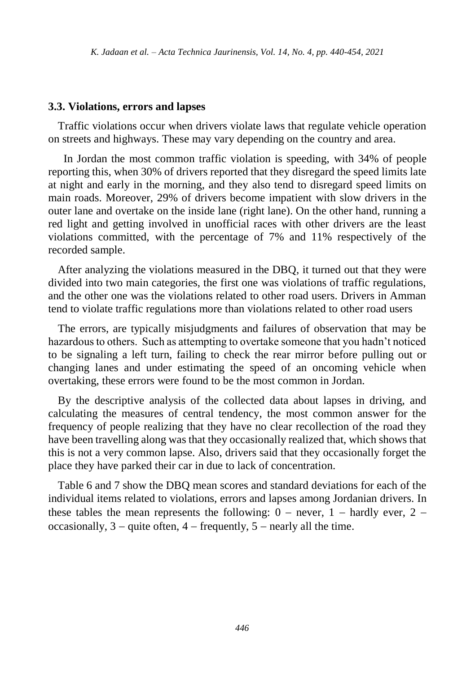#### **3.3. Violations, errors and lapses**

Traffic violations occur when drivers violate laws that regulate vehicle operation on streets and highways. These may vary depending on the country and area.

In Jordan the most common traffic violation is speeding, with 34% of people reporting this, when 30% of drivers reported that they disregard the speed limits late at night and early in the morning, and they also tend to disregard speed limits on main roads. Moreover, 29% of drivers become impatient with slow drivers in the outer lane and overtake on the inside lane (right lane). On the other hand, running a red light and getting involved in unofficial races with other drivers are the least violations committed, with the percentage of 7% and 11% respectively of the recorded sample.

After analyzing the violations measured in the DBQ, it turned out that they were divided into two main categories, the first one was violations of traffic regulations, and the other one was the violations related to other road users. Drivers in Amman tend to violate traffic regulations more than violations related to other road users

The errors, are typically misjudgments and failures of observation that may be hazardous to others. Such as attempting to overtake someone that you hadn't noticed to be signaling a left turn, failing to check the rear mirror before pulling out or changing lanes and under estimating the speed of an oncoming vehicle when overtaking, these errors were found to be the most common in Jordan.

By the descriptive analysis of the collected data about lapses in driving, and calculating the measures of central tendency, the most common answer for the frequency of people realizing that they have no clear recollection of the road they have been travelling along was that they occasionally realized that, which shows that this is not a very common lapse. Also, drivers said that they occasionally forget the place they have parked their car in due to lack of concentration.

Table 6 and 7 show the DBQ mean scores and standard deviations for each of the individual items related to violations, errors and lapses among Jordanian drivers. In these tables the mean represents the following:  $0 -$  never,  $1 -$  hardly ever,  $2$ occasionally,  $3 -$  quite often,  $4 -$  frequently,  $5 -$  nearly all the time.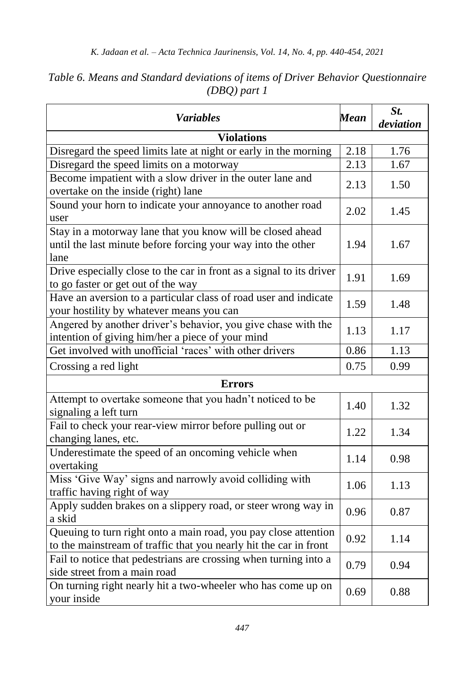| <b>Variables</b>                                                                                                                     | <b>Mean</b> | St.<br>deviation |  |  |
|--------------------------------------------------------------------------------------------------------------------------------------|-------------|------------------|--|--|
| <b>Violations</b>                                                                                                                    |             |                  |  |  |
| Disregard the speed limits late at night or early in the morning                                                                     | 2.18        | 1.76             |  |  |
| Disregard the speed limits on a motorway                                                                                             | 2.13        | 1.67             |  |  |
| Become impatient with a slow driver in the outer lane and<br>overtake on the inside (right) lane                                     | 2.13        | 1.50             |  |  |
| Sound your horn to indicate your annoyance to another road<br>user                                                                   | 2.02        | 1.45             |  |  |
| Stay in a motorway lane that you know will be closed ahead<br>until the last minute before forcing your way into the other<br>lane   | 1.94        | 1.67             |  |  |
| Drive especially close to the car in front as a signal to its driver<br>to go faster or get out of the way                           | 1.91        | 1.69             |  |  |
| Have an aversion to a particular class of road user and indicate<br>your hostility by whatever means you can                         | 1.59        | 1.48             |  |  |
| Angered by another driver's behavior, you give chase with the<br>intention of giving him/her a piece of your mind                    | 1.13        | 1.17             |  |  |
| Get involved with unofficial 'races' with other drivers                                                                              | 0.86        | 1.13             |  |  |
| Crossing a red light                                                                                                                 | 0.75        | 0.99             |  |  |
| <b>Errors</b>                                                                                                                        |             |                  |  |  |
| Attempt to overtake someone that you hadn't noticed to be<br>signaling a left turn                                                   | 1.40        | 1.32             |  |  |
| Fail to check your rear-view mirror before pulling out or<br>changing lanes, etc.                                                    | 1.22        | 1.34             |  |  |
| Underestimate the speed of an oncoming vehicle when<br>overtaking                                                                    | 1.14        | 0.98             |  |  |
| Miss 'Give Way' signs and narrowly avoid colliding with<br>traffic having right of way                                               | 1.06        | 1.13             |  |  |
| Apply sudden brakes on a slippery road, or steer wrong way in<br>a skid                                                              | 0.96        | 0.87             |  |  |
| Queuing to turn right onto a main road, you pay close attention<br>to the mainstream of traffic that you nearly hit the car in front | 0.92        | 1.14             |  |  |
| Fail to notice that pedestrians are crossing when turning into a<br>side street from a main road                                     | 0.79        | 0.94             |  |  |
| On turning right nearly hit a two-wheeler who has come up on<br>your inside                                                          | 0.69        | 0.88             |  |  |

## *Table 6. Means and Standard deviations of items of Driver Behavior Questionnaire (DBQ) part 1*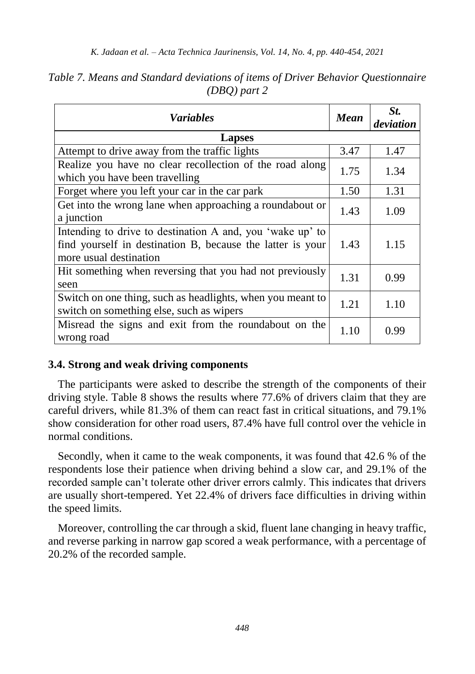| <b>Variables</b>                                                                                                                                  | Mean | St.<br>deviation |
|---------------------------------------------------------------------------------------------------------------------------------------------------|------|------------------|
| Lapses                                                                                                                                            |      |                  |
| Attempt to drive away from the traffic lights                                                                                                     | 3.47 | 1.47             |
| Realize you have no clear recollection of the road along<br>which you have been travelling                                                        | 1.75 | 1.34             |
| Forget where you left your car in the car park                                                                                                    | 1.50 | 1.31             |
| Get into the wrong lane when approaching a roundabout or<br>a junction                                                                            | 1.43 | 1.09             |
| Intending to drive to destination A and, you 'wake up' to<br>find yourself in destination B, because the latter is your<br>more usual destination | 1.43 | 1.15             |
| Hit something when reversing that you had not previously<br>seen                                                                                  | 1.31 | 0.99             |
| Switch on one thing, such as headlights, when you meant to<br>switch on something else, such as wipers                                            | 1.21 | 1.10             |
| Misread the signs and exit from the roundabout on the<br>wrong road                                                                               | 1.10 | 0.99             |

### *Table 7. Means and Standard deviations of items of Driver Behavior Questionnaire (DBQ) part 2*

#### **3.4. Strong and weak driving components**

The participants were asked to describe the strength of the components of their driving style. Table 8 shows the results where 77.6% of drivers claim that they are careful drivers, while 81.3% of them can react fast in critical situations, and 79.1% show consideration for other road users, 87.4% have full control over the vehicle in normal conditions.

Secondly, when it came to the weak components, it was found that 42.6 % of the respondents lose their patience when driving behind a slow car, and 29.1% of the recorded sample can't tolerate other driver errors calmly. This indicates that drivers are usually short-tempered. Yet 22.4% of drivers face difficulties in driving within the speed limits.

Moreover, controlling the car through a skid, fluent lane changing in heavy traffic, and reverse parking in narrow gap scored a weak performance, with a percentage of 20.2% of the recorded sample.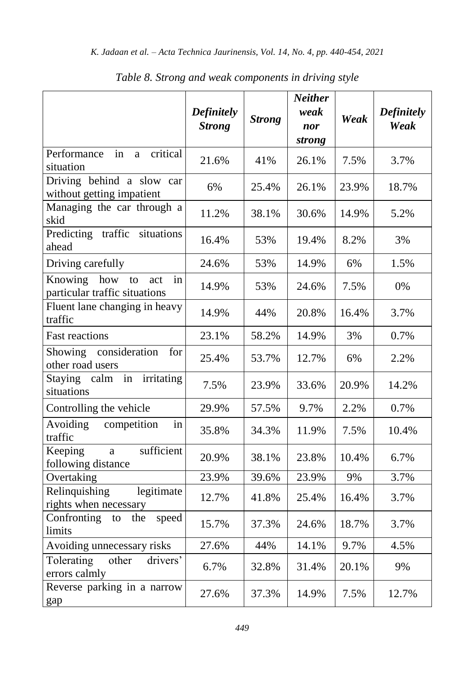|                                                                    | <b>Definitely</b><br><b>Strong</b> | <b>Strong</b> | <b>Neither</b><br>weak<br>nor<br>strong | Weak  | <b>Definitely</b><br>Weak |
|--------------------------------------------------------------------|------------------------------------|---------------|-----------------------------------------|-------|---------------------------|
| Performance<br>critical<br>in<br>a<br>situation                    | 21.6%                              | 41%           | 26.1%                                   | 7.5%  | 3.7%                      |
| Driving behind a slow car<br>without getting impatient             | 6%                                 | 25.4%         | 26.1%                                   | 23.9% | 18.7%                     |
| Managing the car through a<br>skid                                 | 11.2%                              | 38.1%         | 30.6%                                   | 14.9% | 5.2%                      |
| Predicting traffic situations<br>ahead                             | 16.4%                              | 53%           | 19.4%                                   | 8.2%  | 3%                        |
| Driving carefully                                                  | 24.6%                              | 53%           | 14.9%                                   | 6%    | 1.5%                      |
| how<br>Knowing<br>to<br>act<br>in<br>particular traffic situations | 14.9%                              | 53%           | 24.6%                                   | 7.5%  | 0%                        |
| Fluent lane changing in heavy<br>traffic                           | 14.9%                              | 44%           | 20.8%                                   | 16.4% | 3.7%                      |
| Fast reactions                                                     | 23.1%                              | 58.2%         | 14.9%                                   | 3%    | 0.7%                      |
| Showing consideration<br>for<br>other road users                   | 25.4%                              | 53.7%         | 12.7%                                   | 6%    | 2.2%                      |
| Staying calm in<br>irritating<br>situations                        | 7.5%                               | 23.9%         | 33.6%                                   | 20.9% | 14.2%                     |
| Controlling the vehicle                                            | 29.9%                              | 57.5%         | 9.7%                                    | 2.2%  | 0.7%                      |
| Avoiding<br>competition<br>in<br>traffic                           | 35.8%                              | 34.3%         | 11.9%                                   | 7.5%  | 10.4%                     |
| sufficient<br>Keeping<br>a<br>following distance                   | 20.9%                              | 38.1%         | 23.8%                                   | 10.4% | 6.7%                      |
| Overtaking                                                         | 23.9%                              | 39.6%         | 23.9%                                   | 9%    | 3.7%                      |
| Relinquishing<br>legitimate<br>rights when necessary               | 12.7%                              | 41.8%         | 25.4%                                   | 16.4% | 3.7%                      |
| Confronting<br>speed<br>to<br>the<br>limits                        | 15.7%                              | 37.3%         | 24.6%                                   | 18.7% | 3.7%                      |
| Avoiding unnecessary risks                                         | 27.6%                              | 44%           | 14.1%                                   | 9.7%  | 4.5%                      |
| Tolerating<br>other<br>drivers'<br>errors calmly                   | 6.7%                               | 32.8%         | 31.4%                                   | 20.1% | 9%                        |
| Reverse parking in a narrow<br>gap                                 | 27.6%                              | 37.3%         | 14.9%                                   | 7.5%  | 12.7%                     |

*Table 8. Strong and weak components in driving style*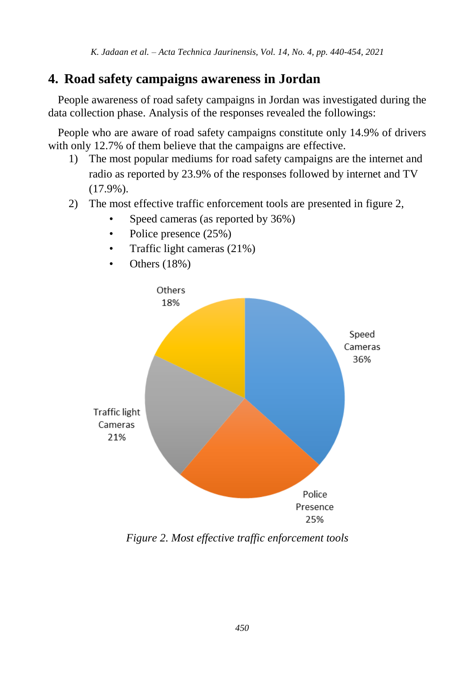## **4. Road safety campaigns awareness in Jordan**

People awareness of road safety campaigns in Jordan was investigated during the data collection phase. Analysis of the responses revealed the followings:

People who are aware of road safety campaigns constitute only 14.9% of drivers with only 12.7% of them believe that the campaigns are effective.

- 1) The most popular mediums for road safety campaigns are the internet and radio as reported by 23.9% of the responses followed by internet and TV (17.9%).
- 2) The most effective traffic enforcement tools are presented in figure 2,
	- Speed cameras (as reported by 36%)
	- Police presence  $(25%)$
	- Traffic light cameras (21%)
	- Others (18%)



*Figure 2. Most effective traffic enforcement tools*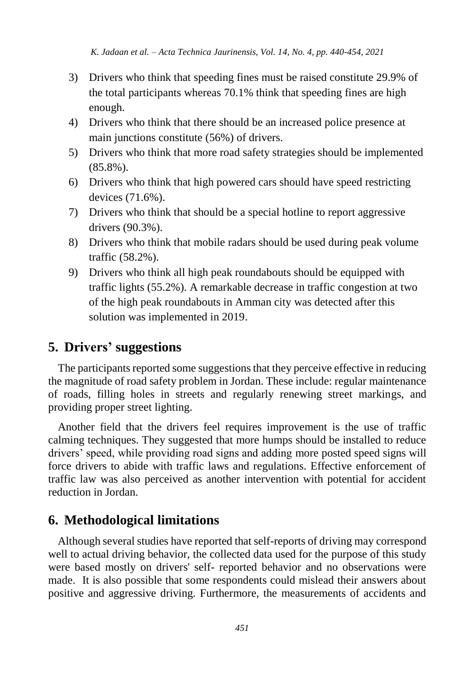- 3) Drivers who think that speeding fines must be raised constitute 29.9% of the total participants whereas 70.1% think that speeding fines are high enough.
- 4) Drivers who think that there should be an increased police presence at main junctions constitute (56%) of drivers.
- 5) Drivers who think that more road safety strategies should be implemented (85.8%).
- 6) Drivers who think that high powered cars should have speed restricting devices (71.6%).
- 7) Drivers who think that should be a special hotline to report aggressive drivers (90.3%).
- 8) Drivers who think that mobile radars should be used during peak volume traffic (58.2%).
- 9) Drivers who think all high peak roundabouts should be equipped with traffic lights (55.2%). A remarkable decrease in traffic congestion at two of the high peak roundabouts in Amman city was detected after this solution was implemented in 2019.

## **5. Drivers' suggestions**

The participants reported some suggestions that they perceive effective in reducing the magnitude of road safety problem in Jordan. These include: regular maintenance of roads, filling holes in streets and regularly renewing street markings, and providing proper street lighting.

Another field that the drivers feel requires improvement is the use of traffic calming techniques. They suggested that more humps should be installed to reduce drivers' speed, while providing road signs and adding more posted speed signs will force drivers to abide with traffic laws and regulations. Effective enforcement of traffic law was also perceived as another intervention with potential for accident reduction in Jordan.

## **6. Methodological limitations**

Although several studies have reported that self-reports of driving may correspond well to actual driving behavior, the collected data used for the purpose of this study were based mostly on drivers' self- reported behavior and no observations were made. It is also possible that some respondents could mislead their answers about positive and aggressive driving. Furthermore, the measurements of accidents and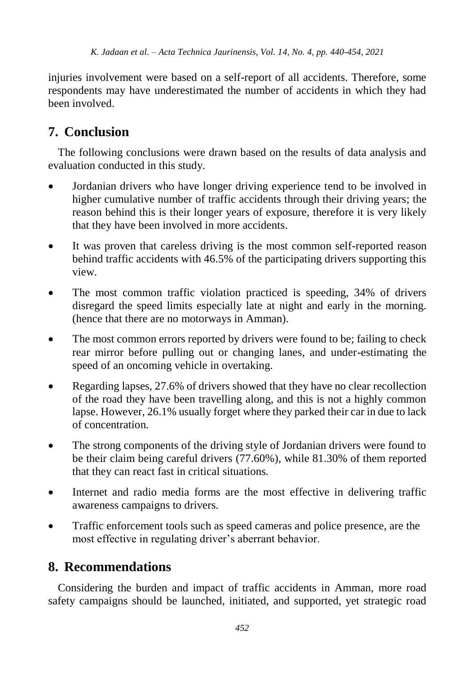injuries involvement were based on a self-report of all accidents. Therefore, some respondents may have underestimated the number of accidents in which they had been involved.

## **7. Conclusion**

The following conclusions were drawn based on the results of data analysis and evaluation conducted in this study.

- Jordanian drivers who have longer driving experience tend to be involved in higher cumulative number of traffic accidents through their driving years; the reason behind this is their longer years of exposure, therefore it is very likely that they have been involved in more accidents.
- It was proven that careless driving is the most common self-reported reason behind traffic accidents with 46.5% of the participating drivers supporting this view.
- The most common traffic violation practiced is speeding, 34% of drivers disregard the speed limits especially late at night and early in the morning. (hence that there are no motorways in Amman).
- The most common errors reported by drivers were found to be; failing to check rear mirror before pulling out or changing lanes, and under-estimating the speed of an oncoming vehicle in overtaking.
- Regarding lapses, 27.6% of drivers showed that they have no clear recollection of the road they have been travelling along, and this is not a highly common lapse. However, 26.1% usually forget where they parked their car in due to lack of concentration.
- The strong components of the driving style of Jordanian drivers were found to be their claim being careful drivers (77.60%), while 81.30% of them reported that they can react fast in critical situations.
- Internet and radio media forms are the most effective in delivering traffic awareness campaigns to drivers.
- Traffic enforcement tools such as speed cameras and police presence, are the most effective in regulating driver's aberrant behavior.

## **8. Recommendations**

Considering the burden and impact of traffic accidents in Amman, more road safety campaigns should be launched, initiated, and supported, yet strategic road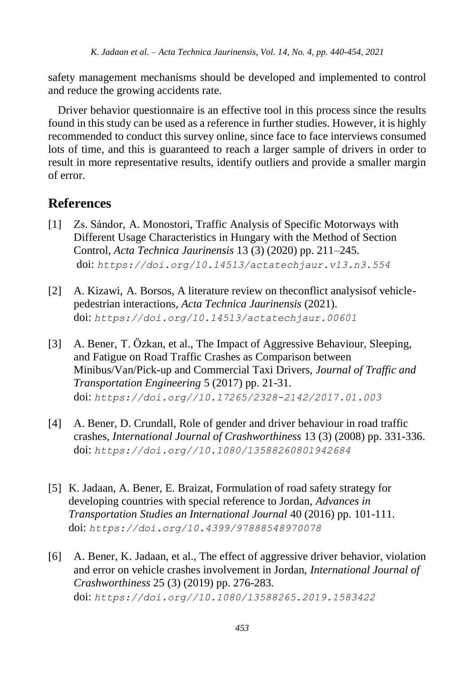safety management mechanisms should be developed and implemented to control and reduce the growing accidents rate.

Driver behavior questionnaire is an effective tool in this process since the results found in this study can be used as a reference in further studies. However, it is highly recommended to conduct this survey online, since face to face interviews consumed lots of time, and this is guaranteed to reach a larger sample of drivers in order to result in more representative results, identify outliers and provide a smaller margin of error.

## **References**

- [1] Zs. Sándor, A. Monostori, Traffic Analysis of Specific Motorways with Different Usage Characteristics in Hungary with the Method of Section Control, *Acta Technica Jaurinensis* 13 (3) (2020) pp. 211–245. doi: *<https://doi.org/10.14513/actatechjaur.v13.n3.554>*
- [2] A. Kizawi, A. Borsos, A literature review on theconflict analysisof vehiclepedestrian interactions, *Acta Technica Jaurinensis* (2021). doi: *<https://doi.org/10.14513/actatechjaur.00601>*
- [3] A. Bener, T. Özkan, et al., The Impact of Aggressive Behaviour, Sleeping, and Fatigue on Road Traffic Crashes as Comparison between Minibus/Van/Pick-up and Commercial Taxi Drivers, *Journal of Traffic and Transportation Engineering* 5 (2017) pp. 21-31. doi: *[https://doi.org//10.17265/2328-2142/2017.01.003](https://doi.org/10.17265/2328-2142/2017.01.003)*
- [4] A. Bener, D. Crundall, Role of gender and driver behaviour in road traffic crashes, *International Journal of Crashworthiness* 13 (3) (2008) pp. 331-336. doi: *[https://doi.org//10.1080/13588260801942684](https://doi.org/10.1080/13588260801942684)*
- [5] K. Jadaan, A. Bener, E. Braizat, Formulation of road safety strategy for developing countries with special reference to Jordan, *Advances in Transportation Studies an International Journal* 40 (2016) pp. 101-111. doi: *<https://doi.org/10.4399/97888548970078>*
- [6] A. Bener, K. Jadaan, et al., The effect of aggressive driver behavior, violation and error on vehicle crashes involvement in Jordan, *International Journal of Crashworthiness* 25 (3) (2019) pp. 276-283. doi: *[https://doi.org//10.1080/13588265.2019.1583422](https://doi.org/10.1080/13588265.2019.1583422)*